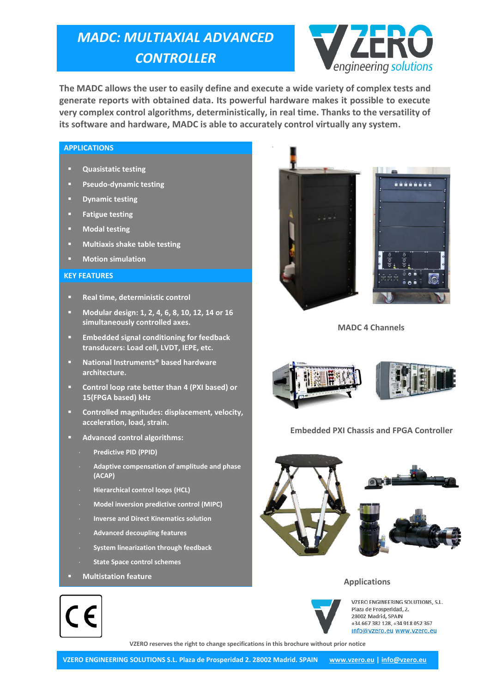## *MADC: MULTIAXIAL ADVANCED CONTROLLER*



**The MADC allows the user to easily define and execute a wide variety of complex tests and generate reports with obtained data. Its powerful hardware makes it possible to execute very complex control algorithms, deterministically, in real time. Thanks to the versatility of its software and hardware, MADC is able to accurately control virtually any system.**

#### **APPLICATIONS**

- **Quasistatic testing**
- **Pseudo-dynamic testing**
- **E** Dynamic testing
- **Fatigue testing**
- **Modal testing**
- **Multiaxis shake table testing**
- **Motion simulation**

#### **KEY FEATURES**

- **Real time, deterministic control**
- **Modular design: 1, 2, 4, 6, 8, 10, 12, 14 or 16 simultaneously controlled axes.**
- **Embedded signal conditioning for feedback transducers: Load cell, LVDT, IEPE, etc.**
- **National Instruments® based hardware architecture.**
- **Control loop rate better than 4 (PXI based) or 15(FPGA based) kHz**
- **Controlled magnitudes: displacement, velocity, acceleration, load, strain.**
- **Advanced control algorithms:**
	- **Predictive PID (PPID)**
	- **Adaptive compensation of amplitude and phase (ACAP)**
	- **Hierarchical control loops (HCL)**
	- **Model inversion predictive control (MIPC)**
	- **Inverse and Direct Kinematics solution**
	- **Advanced decoupling features**
	- **System linearization through feedback**
	- **State Space control schemes**
- **Multistation feature**



**MADC 4 Channels**





#### **Embedded PXI Chassis and FPGA Controller**



#### **Applications**



VZERO ENGINEERING SOLUTIONS, S.L. Plaza de Prosperidad, 2. 28002 Madrid, SPAIN +34 667 382 128, +34 918 052 367 info@vzero.eu www.vzero.eu

**VZERO reserves the right to change specifications in this brochure without prior notice**